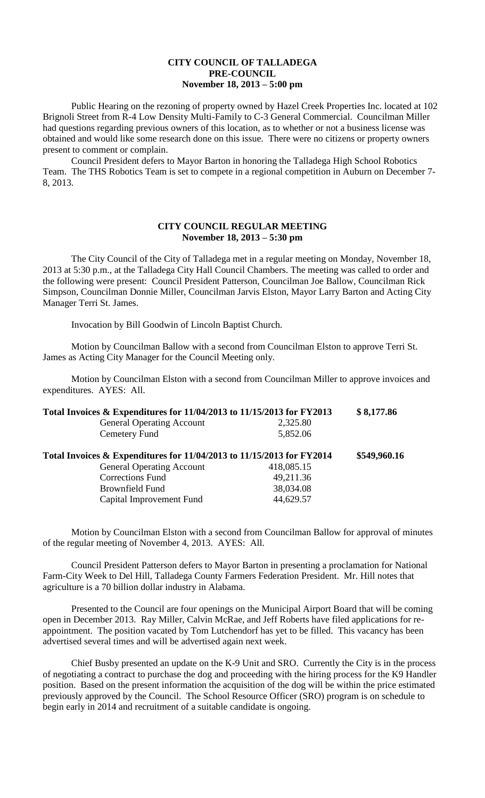## **CITY COUNCIL OF TALLADEGA PRE-COUNCIL November 18, 2013 – 5:00 pm**

Public Hearing on the rezoning of property owned by Hazel Creek Properties Inc. located at 102 Brignoli Street from R-4 Low Density Multi-Family to C-3 General Commercial. Councilman Miller had questions regarding previous owners of this location, as to whether or not a business license was obtained and would like some research done on this issue. There were no citizens or property owners present to comment or complain.

Council President defers to Mayor Barton in honoring the Talladega High School Robotics Team. The THS Robotics Team is set to compete in a regional competition in Auburn on December 7- 8, 2013.

## **CITY COUNCIL REGULAR MEETING November 18, 2013 – 5:30 pm**

The City Council of the City of Talladega met in a regular meeting on Monday, November 18, 2013 at 5:30 p.m., at the Talladega City Hall Council Chambers. The meeting was called to order and the following were present: Council President Patterson, Councilman Joe Ballow, Councilman Rick Simpson, Councilman Donnie Miller, Councilman Jarvis Elston, Mayor Larry Barton and Acting City Manager Terri St. James.

Invocation by Bill Goodwin of Lincoln Baptist Church.

Motion by Councilman Ballow with a second from Councilman Elston to approve Terri St. James as Acting City Manager for the Council Meeting only.

Motion by Councilman Elston with a second from Councilman Miller to approve invoices and expenditures. AYES: All.

| Total Invoices & Expenditures for 11/04/2013 to 11/15/2013 for FY2013 |            | \$8,177.86   |
|-----------------------------------------------------------------------|------------|--------------|
| <b>General Operating Account</b>                                      | 2,325.80   |              |
| Cemetery Fund                                                         | 5,852.06   |              |
| Total Invoices & Expenditures for 11/04/2013 to 11/15/2013 for FY2014 |            | \$549,960.16 |
| <b>General Operating Account</b>                                      | 418,085.15 |              |
| <b>Corrections Fund</b>                                               | 49,211.36  |              |
| <b>Brownfield Fund</b>                                                | 38,034.08  |              |
| Capital Improvement Fund                                              | 44,629.57  |              |

Motion by Councilman Elston with a second from Councilman Ballow for approval of minutes of the regular meeting of November 4, 2013. AYES: All.

Council President Patterson defers to Mayor Barton in presenting a proclamation for National Farm-City Week to Del Hill, Talladega County Farmers Federation President. Mr. Hill notes that agriculture is a 70 billion dollar industry in Alabama.

Presented to the Council are four openings on the Municipal Airport Board that will be coming open in December 2013. Ray Miller, Calvin McRae, and Jeff Roberts have filed applications for reappointment. The position vacated by Tom Lutchendorf has yet to be filled. This vacancy has been advertised several times and will be advertised again next week.

Chief Busby presented an update on the K-9 Unit and SRO. Currently the City is in the process of negotiating a contract to purchase the dog and proceeding with the hiring process for the K9 Handler position. Based on the present information the acquisition of the dog will be within the price estimated previously approved by the Council. The School Resource Officer (SRO) program is on schedule to begin early in 2014 and recruitment of a suitable candidate is ongoing.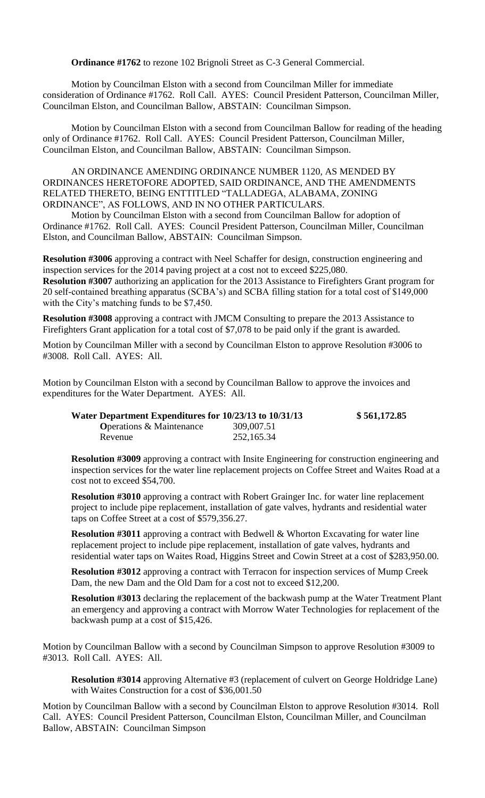**Ordinance #1762** to rezone 102 Brignoli Street as C-3 General Commercial.

Motion by Councilman Elston with a second from Councilman Miller for immediate consideration of Ordinance #1762. Roll Call. AYES: Council President Patterson, Councilman Miller, Councilman Elston, and Councilman Ballow, ABSTAIN: Councilman Simpson.

Motion by Councilman Elston with a second from Councilman Ballow for reading of the heading only of Ordinance #1762. Roll Call. AYES: Council President Patterson, Councilman Miller, Councilman Elston, and Councilman Ballow, ABSTAIN: Councilman Simpson.

AN ORDINANCE AMENDING ORDINANCE NUMBER 1120, AS MENDED BY ORDINANCES HERETOFORE ADOPTED, SAID ORDINANCE, AND THE AMENDMENTS RELATED THERETO, BEING ENTTITLED "TALLADEGA, ALABAMA, ZONING ORDINANCE", AS FOLLOWS, AND IN NO OTHER PARTICULARS.

Motion by Councilman Elston with a second from Councilman Ballow for adoption of Ordinance #1762. Roll Call. AYES: Council President Patterson, Councilman Miller, Councilman Elston, and Councilman Ballow, ABSTAIN: Councilman Simpson.

**Resolution #3006** approving a contract with Neel Schaffer for design, construction engineering and inspection services for the 2014 paving project at a cost not to exceed \$225,080. **Resolution #3007** authorizing an application for the 2013 Assistance to Firefighters Grant program for 20 self-contained breathing apparatus (SCBA's) and SCBA filling station for a total cost of \$149,000 with the City's matching funds to be \$7,450.

**Resolution #3008** approving a contract with JMCM Consulting to prepare the 2013 Assistance to Firefighters Grant application for a total cost of \$7,078 to be paid only if the grant is awarded.

Motion by Councilman Miller with a second by Councilman Elston to approve Resolution #3006 to #3008. Roll Call. AYES: All.

Motion by Councilman Elston with a second by Councilman Ballow to approve the invoices and expenditures for the Water Department. AYES: All.

| Water Department Expenditures for 10/23/13 to 10/31/13 |            | \$561,172.85 |
|--------------------------------------------------------|------------|--------------|
| <b>O</b> perations & Maintenance                       | 309,007.51 |              |
| Revenue                                                | 252,165.34 |              |

**Resolution #3009** approving a contract with Insite Engineering for construction engineering and inspection services for the water line replacement projects on Coffee Street and Waites Road at a cost not to exceed \$54,700.

**Resolution #3010** approving a contract with Robert Grainger Inc. for water line replacement project to include pipe replacement, installation of gate valves, hydrants and residential water taps on Coffee Street at a cost of \$579,356.27.

**Resolution #3011** approving a contract with Bedwell & Whorton Excavating for water line replacement project to include pipe replacement, installation of gate valves, hydrants and residential water taps on Waites Road, Higgins Street and Cowin Street at a cost of \$283,950.00.

**Resolution #3012** approving a contract with Terracon for inspection services of Mump Creek Dam, the new Dam and the Old Dam for a cost not to exceed \$12,200.

**Resolution #3013** declaring the replacement of the backwash pump at the Water Treatment Plant an emergency and approving a contract with Morrow Water Technologies for replacement of the backwash pump at a cost of \$15,426.

Motion by Councilman Ballow with a second by Councilman Simpson to approve Resolution #3009 to #3013. Roll Call. AYES: All.

**Resolution #3014** approving Alternative #3 (replacement of culvert on George Holdridge Lane) with Waites Construction for a cost of \$36,001.50

Motion by Councilman Ballow with a second by Councilman Elston to approve Resolution #3014. Roll Call. AYES: Council President Patterson, Councilman Elston, Councilman Miller, and Councilman Ballow, ABSTAIN: Councilman Simpson